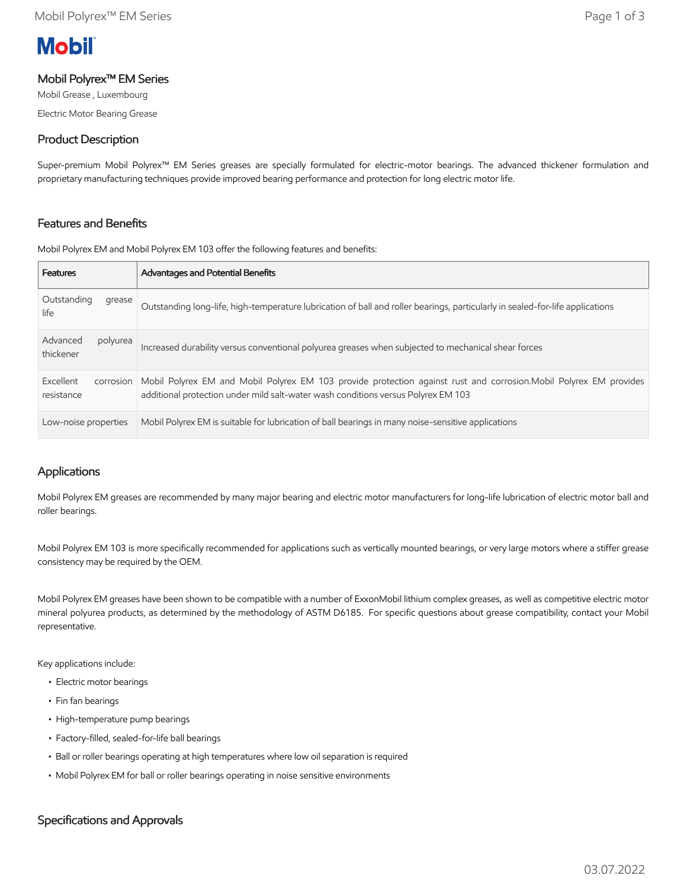# **Mobil**

## Mobil Polyrex™ EM Series

Mobil Grease , Luxembourg Electric Motor Bearing Grease

# Product Description

Super-premium Mobil Polyrex™ EM Series greases are specially formulated for electric-motor bearings. The advanced thickener formulation and proprietary manufacturing techniques provide improved bearing performance and protection for long electric motor life.

# Features and Benefits

Mobil Polyrex EM and Mobil Polyrex EM 103 offer the following features and benefits:

| <b>Features</b>                      | <b>Advantages and Potential Benefits</b>                                                                                                                                                                |
|--------------------------------------|---------------------------------------------------------------------------------------------------------------------------------------------------------------------------------------------------------|
| Outstanding<br>grease<br>life        | Outstanding long-life, high-temperature lubrication of ball and roller bearings, particularly in sealed-for-life applications                                                                           |
| Advanced<br>polyurea<br>thickener    | Increased durability versus conventional polyurea greases when subjected to mechanical shear forces                                                                                                     |
| Excellent<br>corrosion<br>resistance | Mobil Polyrex EM and Mobil Polyrex EM 103 provide protection against rust and corrosion. Mobil Polyrex EM provides<br>additional protection under mild salt-water wash conditions versus Polyrex EM 103 |
| Low-noise properties                 | Mobil Polyrex EM is suitable for lubrication of ball bearings in many noise-sensitive applications                                                                                                      |

# Applications

Mobil Polyrex EM greases are recommended by many major bearing and electric motor manufacturers for long-life lubrication of electric motor ball and roller bearings.

Mobil Polyrex EM 103 is more specifically recommended for applications such as vertically mounted bearings, or very large motors where a stiffer grease consistency may be required by the OEM.

Mobil Polyrex EM greases have been shown to be compatible with a number of ExxonMobil lithium complex greases, as well as competitive electric motor mineral polyurea products, as determined by the methodology of ASTM D6185. For specific questions about grease compatibility, contact your Mobil representative.

Key applications include:

- Electric motor bearings
- Fin fan bearings
- High-temperature pump bearings
- Factory-filled, sealed-for-life ball bearings
- Ball or roller bearings operating at high temperatures where low oil separation is required
- Mobil Polyrex EM for ball or roller bearings operating in noise sensitive environments

## Specifications and Approvals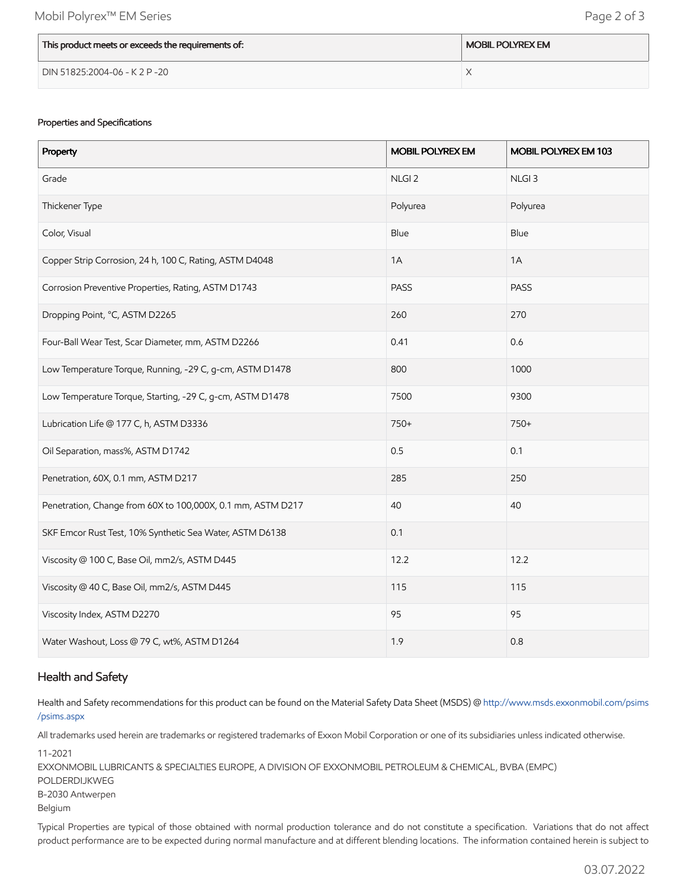| This product meets or exceeds the requirements of: | <b>MOBIL POLYREX EM</b> |
|----------------------------------------------------|-------------------------|
| DIN 51825:2004-06 - K 2 P -20                      |                         |

#### Properties and Specifications

| Property                                                    | <b>MOBIL POLYREX EM</b> | MOBIL POLYREX EM 103 |
|-------------------------------------------------------------|-------------------------|----------------------|
| Grade                                                       | NLGI <sub>2</sub>       | NLGI <sub>3</sub>    |
| Thickener Type                                              | Polyurea                | Polyurea             |
| Color, Visual                                               | Blue                    | Blue                 |
| Copper Strip Corrosion, 24 h, 100 C, Rating, ASTM D4048     | 1A                      | 1A                   |
| Corrosion Preventive Properties, Rating, ASTM D1743         | PASS                    | PASS                 |
| Dropping Point, °C, ASTM D2265                              | 260                     | 270                  |
| Four-Ball Wear Test, Scar Diameter, mm, ASTM D2266          | 0.41                    | 0.6                  |
| Low Temperature Torque, Running, -29 C, g-cm, ASTM D1478    | 800                     | 1000                 |
| Low Temperature Torque, Starting, -29 C, g-cm, ASTM D1478   | 7500                    | 9300                 |
| Lubrication Life @ 177 C, h, ASTM D3336                     | 750+                    | $750+$               |
| Oil Separation, mass%, ASTM D1742                           | 0.5                     | 0.1                  |
| Penetration, 60X, 0.1 mm, ASTM D217                         | 285                     | 250                  |
| Penetration, Change from 60X to 100,000X, 0.1 mm, ASTM D217 | 40                      | 40                   |
| SKF Emcor Rust Test, 10% Synthetic Sea Water, ASTM D6138    | 0.1                     |                      |
| Viscosity @ 100 C, Base Oil, mm2/s, ASTM D445               | 12.2                    | 12.2                 |
| Viscosity @ 40 C, Base Oil, mm2/s, ASTM D445                | 115                     | 115                  |
| Viscosity Index, ASTM D2270                                 | 95                      | 95                   |
| Water Washout, Loss @ 79 C, wt%, ASTM D1264                 | 1.9                     | 0.8                  |

### Health and Safety

Health and Safety recommendations for this product can be found on the Material Safety Data Sheet (MSDS) @ [http://www.msds.exxonmobil.com/psims](http://www.msds.exxonmobil.com/psims/psims.aspx) /psims.aspx

All trademarks used herein are trademarks or registered trademarks of Exxon Mobil Corporation or one of its subsidiaries unless indicated otherwise.

11-2021 EXXONMOBIL LUBRICANTS & SPECIALTIES EUROPE, A DIVISION OF EXXONMOBIL PETROLEUM & CHEMICAL, BVBA (EMPC) POLDERDIJKWEG B-2030 Antwerpen Belgium

Typical Properties are typical of those obtained with normal production tolerance and do not constitute a specification. Variations that do not affect product performance are to be expected during normal manufacture and at different blending locations. The information contained herein is subject to